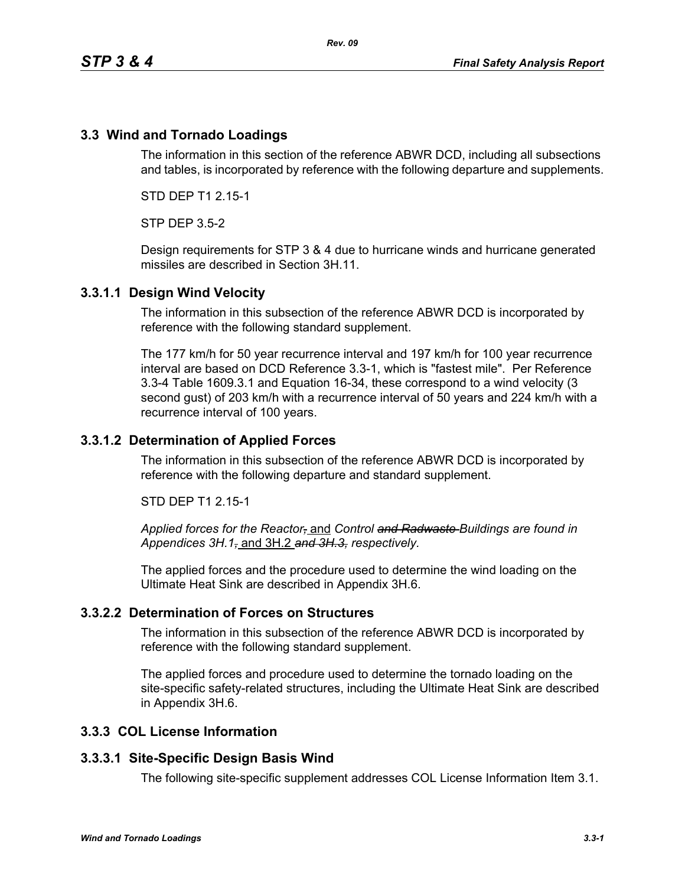## **3.3 Wind and Tornado Loadings**

The information in this section of the reference ABWR DCD, including all subsections and tables, is incorporated by reference with the following departure and supplements.

STD DEP T1 2.15-1

STP DEP 3.5-2

Design requirements for STP 3 & 4 due to hurricane winds and hurricane generated missiles are described in Section 3H.11.

### **3.3.1.1 Design Wind Velocity**

The information in this subsection of the reference ABWR DCD is incorporated by reference with the following standard supplement.

The 177 km/h for 50 year recurrence interval and 197 km/h for 100 year recurrence interval are based on DCD Reference 3.3-1, which is "fastest mile". Per Reference 3.3-4 Table 1609.3.1 and Equation 16-34, these correspond to a wind velocity (3 second gust) of 203 km/h with a recurrence interval of 50 years and 224 km/h with a recurrence interval of 100 years.

### **3.3.1.2 Determination of Applied Forces**

The information in this subsection of the reference ABWR DCD is incorporated by reference with the following departure and standard supplement.

STD DEP T1 2.15-1

*Applied forces for the Reactor,* and *Control and Radwaste Buildings are found in Appendices 3H.1,* and 3H.2 *and 3H.3, respectively.*

The applied forces and the procedure used to determine the wind loading on the Ultimate Heat Sink are described in Appendix 3H.6.

### **3.3.2.2 Determination of Forces on Structures**

The information in this subsection of the reference ABWR DCD is incorporated by reference with the following standard supplement.

The applied forces and procedure used to determine the tornado loading on the site-specific safety-related structures, including the Ultimate Heat Sink are described in Appendix 3H.6.

### **3.3.3 COL License Information**

#### **3.3.3.1 Site-Specific Design Basis Wind**

The following site-specific supplement addresses COL License Information Item 3.1.